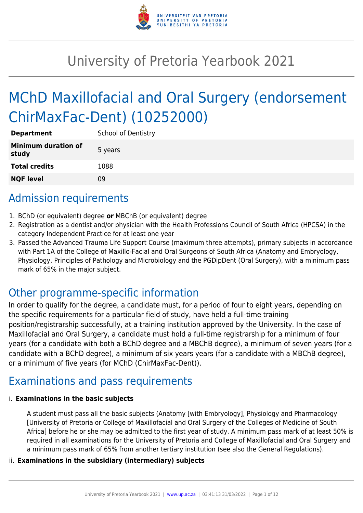

# University of Pretoria Yearbook 2021

# MChD Maxillofacial and Oral Surgery (endorsement ChirMaxFac-Dent) (10252000)

| <b>Department</b>                   | <b>School of Dentistry</b> |
|-------------------------------------|----------------------------|
| <b>Minimum duration of</b><br>study | 5 years                    |
| <b>Total credits</b>                | 1088                       |
| <b>NQF level</b>                    | Ωd                         |

# Admission requirements

- 1. BChD (or equivalent) degree **or** MBChB (or equivalent) degree
- 2. Registration as a dentist and/or physician with the Health Professions Council of South Africa (HPCSA) in the category Independent Practice for at least one year
- 3. Passed the Advanced Trauma Life Support Course (maximum three attempts), primary subjects in accordance with Part 1A of the College of Maxillo-Facial and Oral Surgeons of South Africa (Anatomy and Embryology, Physiology, Principles of Pathology and Microbiology and the PGDipDent (Oral Surgery), with a minimum pass mark of 65% in the major subject.

# Other programme-specific information

In order to qualify for the degree, a candidate must, for a period of four to eight years, depending on the specific requirements for a particular field of study, have held a full-time training position/registrarship successfully, at a training institution approved by the University. In the case of Maxillofacial and Oral Surgery, a candidate must hold a full-time registrarship for a minimum of four years (for a candidate with both a BChD degree and a MBChB degree), a minimum of seven years (for a candidate with a BChD degree), a minimum of six years years (for a candidate with a MBChB degree), or a minimum of five years (for MChD (ChirMaxFac-Dent)).

# Examinations and pass requirements

#### i. **Examinations in the basic subjects**

A student must pass all the basic subjects (Anatomy [with Embryology], Physiology and Pharmacology [University of Pretoria or College of Maxillofacial and Oral Surgery of the Colleges of Medicine of South Africa] before he or she may be admitted to the first year of study. A minimum pass mark of at least 50% is required in all examinations for the University of Pretoria and College of Maxillofacial and Oral Surgery and a minimum pass mark of 65% from another tertiary institution (see also the General Regulations).

#### ii. **Examinations in the subsidiary (intermediary) subjects**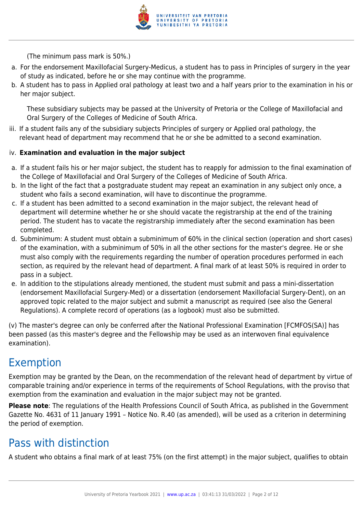

(The minimum pass mark is 50%.)

- a. For the endorsement Maxillofacial Surgery-Medicus, a student has to pass in Principles of surgery in the year of study as indicated, before he or she may continue with the programme.
- b. A student has to pass in Applied oral pathology at least two and a half years prior to the examination in his or her major subject.

These subsidiary subjects may be passed at the University of Pretoria or the College of Maxillofacial and Oral Surgery of the Colleges of Medicine of South Africa.

iii. If a student fails any of the subsidiary subjects Principles of surgery or Applied oral pathology, the relevant head of department may recommend that he or she be admitted to a second examination.

#### iv. **Examination and evaluation in the major subject**

- a. If a student fails his or her major subject, the student has to reapply for admission to the final examination of the College of Maxillofacial and Oral Surgery of the Colleges of Medicine of South Africa.
- b. In the light of the fact that a postgraduate student may repeat an examination in any subject only once, a student who fails a second examination, will have to discontinue the programme.
- c. If a student has been admitted to a second examination in the major subject, the relevant head of department will determine whether he or she should vacate the registrarship at the end of the training period. The student has to vacate the registrarship immediately after the second examination has been completed.
- d. Subminimum: A student must obtain a subminimum of 60% in the clinical section (operation and short cases) of the examination, with a subminimum of 50% in all the other sections for the master's degree. He or she must also comply with the requirements regarding the number of operation procedures performed in each section, as required by the relevant head of department. A final mark of at least 50% is required in order to pass in a subject.
- e. In addition to the stipulations already mentioned, the student must submit and pass a mini-dissertation (endorsement Maxillofacial Surgery-Med) or a dissertation (endorsement Maxillofacial Surgery-Dent), on an approved topic related to the major subject and submit a manuscript as required (see also the General Regulations). A complete record of operations (as a logbook) must also be submitted.

(v) The master's degree can only be conferred after the National Professional Examination [FCMFOS(SA)] has been passed (as this master's degree and the Fellowship may be used as an interwoven final equivalence examination).

# Exemption

Exemption may be granted by the Dean, on the recommendation of the relevant head of department by virtue of comparable training and/or experience in terms of the requirements of School Regulations, with the proviso that exemption from the examination and evaluation in the major subject may not be granted.

**Please note**: The regulations of the Health Professions Council of South Africa, as published in the Government Gazette No. 4631 of 11 January 1991 – Notice No. R.40 (as amended), will be used as a criterion in determining the period of exemption.

# Pass with distinction

A student who obtains a final mark of at least 75% (on the first attempt) in the major subject, qualifies to obtain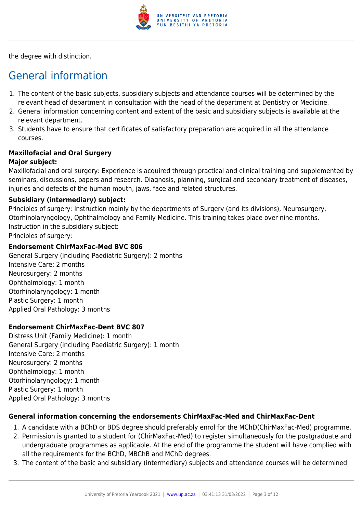

the degree with distinction.

# General information

- 1. The content of the basic subjects, subsidiary subjects and attendance courses will be determined by the relevant head of department in consultation with the head of the department at Dentistry or Medicine.
- 2. General information concerning content and extent of the basic and subsidiary subjects is available at the relevant department.
- 3. Students have to ensure that certificates of satisfactory preparation are acquired in all the attendance courses.

# **Maxillofacial and Oral Surgery**

#### **Major subject:**

Maxillofacial and oral surgery: Experience is acquired through practical and clinical training and supplemented by seminars, discussions, papers and research. Diagnosis, planning, surgical and secondary treatment of diseases, injuries and defects of the human mouth, jaws, face and related structures.

#### **Subsidiary (intermediary) subject:**

Principles of surgery: Instruction mainly by the departments of Surgery (and its divisions), Neurosurgery, Otorhinolaryngology, Ophthalmology and Family Medicine. This training takes place over nine months. Instruction in the subsidiary subject: Principles of surgery:

#### **Endorsement ChirMaxFac-Med BVC 806**

General Surgery (including Paediatric Surgery): 2 months Intensive Care: 2 months Neurosurgery: 2 months Ophthalmology: 1 month Otorhinolaryngology: 1 month Plastic Surgery: 1 month Applied Oral Pathology: 3 months

#### **Endorsement ChirMaxFac-Dent BVC 807**

Distress Unit (Family Medicine): 1 month General Surgery (including Paediatric Surgery): 1 month Intensive Care: 2 months Neurosurgery: 2 months Ophthalmology: 1 month Otorhinolaryngology: 1 month Plastic Surgery: 1 month Applied Oral Pathology: 3 months

#### **General information concerning the endorsements ChirMaxFac-Med and ChirMaxFac-Dent**

- 1. A candidate with a BChD or BDS degree should preferably enrol for the MChD(ChirMaxFac-Med) programme.
- 2. Permission is granted to a student for (ChirMaxFac-Med) to register simultaneously for the postgraduate and undergraduate programmes as applicable. At the end of the programme the student will have complied with all the requirements for the BChD, MBChB and MChD degrees.
- 3. The content of the basic and subsidiary (intermediary) subjects and attendance courses will be determined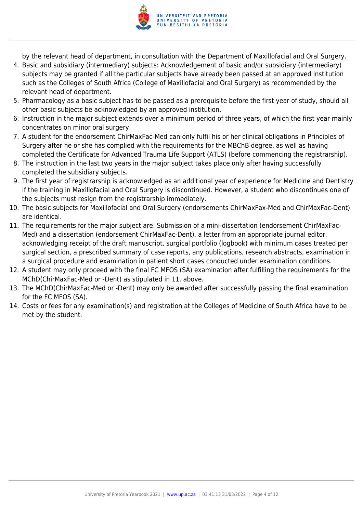

by the relevant head of department, in consultation with the Department of Maxillofacial and Oral Surgery.

- 4. Basic and subsidiary (intermediary) subjects: Acknowledgement of basic and/or subsidiary (intermediary) subjects may be granted if all the particular subjects have already been passed at an approved institution such as the Colleges of South Africa (College of Maxillofacial and Oral Surgery) as recommended by the relevant head of department.
- 5. Pharmacology as a basic subject has to be passed as a prerequisite before the first year of study, should all other basic subjects be acknowledged by an approved institution.
- 6. Instruction in the major subject extends over a minimum period of three years, of which the first year mainly concentrates on minor oral surgery.
- 7. A student for the endorsement ChirMaxFac-Med can only fulfil his or her clinical obligations in Principles of Surgery after he or she has complied with the requirements for the MBChB degree, as well as having completed the Certificate for Advanced Trauma Life Support (ATLS) (before commencing the registrarship).
- 8. The instruction in the last two years in the major subject takes place only after having successfully completed the subsidiary subjects.
- 9. The first year of registrarship is acknowledged as an additional year of experience for Medicine and Dentistry if the training in Maxillofacial and Oral Surgery is discontinued. However, a student who discontinues one of the subjects must resign from the registrarship immediately.
- 10. The basic subjects for Maxillofacial and Oral Surgery (endorsements ChirMaxFax-Med and ChirMaxFac-Dent) are identical.
- 11. The requirements for the major subject are: Submission of a mini-dissertation (endorsement ChirMaxFac-Med) and a dissertation (endorsement ChirMaxFac-Dent), a letter from an appropriate journal editor, acknowledging receipt of the draft manuscript, surgical portfolio (logbook) with minimum cases treated per surgical section, a prescribed summary of case reports, any publications, research abstracts, examination in a surgical procedure and examination in patient short cases conducted under examination conditions.
- 12. A student may only proceed with the final FC MFOS (SA) examination after fulfilling the requirements for the MChD(ChirMaxFac-Med or -Dent) as stipulated in 11. above.
- 13. The MChD(ChirMaxFac-Med or -Dent) may only be awarded after successfully passing the final examination for the FC MFOS (SA).
- 14. Costs or fees for any examination(s) and registration at the Colleges of Medicine of South Africa have to be met by the student.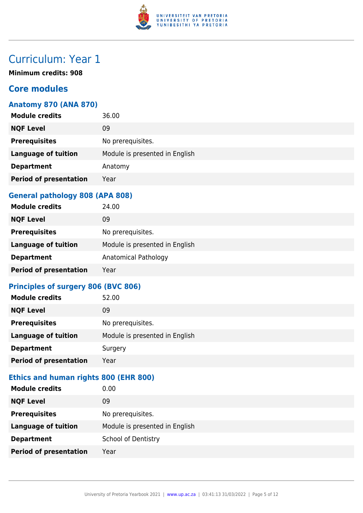

**Minimum credits: 908**

### **Core modules**

#### **Anatomy 870 (ANA 870)**

| <b>Module credits</b>         | 36.00                          |
|-------------------------------|--------------------------------|
| <b>NQF Level</b>              | 09                             |
| <b>Prerequisites</b>          | No prerequisites.              |
| <b>Language of tuition</b>    | Module is presented in English |
| <b>Department</b>             | Anatomy                        |
| <b>Period of presentation</b> | Year                           |
|                               |                                |

#### **General pathology 808 (APA 808)**

| <b>Module credits</b>         | 24.00                          |
|-------------------------------|--------------------------------|
| <b>NQF Level</b>              | 09                             |
| <b>Prerequisites</b>          | No prerequisites.              |
| <b>Language of tuition</b>    | Module is presented in English |
| <b>Department</b>             | Anatomical Pathology           |
| <b>Period of presentation</b> | Year                           |

#### **Principles of surgery 806 (BVC 806)**

| <b>Module credits</b>         | 52.00                          |
|-------------------------------|--------------------------------|
| <b>NQF Level</b>              | 09                             |
| <b>Prerequisites</b>          | No prerequisites.              |
| <b>Language of tuition</b>    | Module is presented in English |
| <b>Department</b>             | Surgery                        |
| <b>Period of presentation</b> | Year                           |

#### **Ethics and human rights 800 (EHR 800)**

| <b>Module credits</b>         | 0.00                           |
|-------------------------------|--------------------------------|
| <b>NQF Level</b>              | 09                             |
| <b>Prerequisites</b>          | No prerequisites.              |
| <b>Language of tuition</b>    | Module is presented in English |
| <b>Department</b>             | <b>School of Dentistry</b>     |
| <b>Period of presentation</b> | Year                           |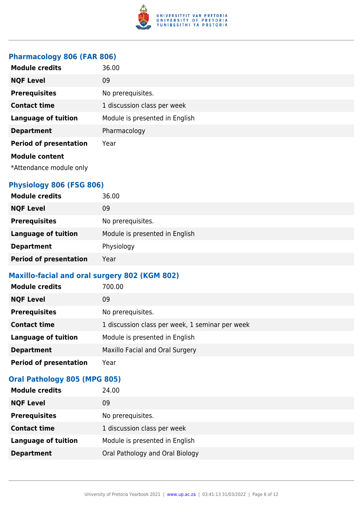

#### **Pharmacology 806 (FAR 806)**

| <b>Module credits</b>         | 36.00                          |
|-------------------------------|--------------------------------|
| <b>NQF Level</b>              | 09                             |
| <b>Prerequisites</b>          | No prerequisites.              |
| <b>Contact time</b>           | 1 discussion class per week    |
| <b>Language of tuition</b>    | Module is presented in English |
| <b>Department</b>             | Pharmacology                   |
| <b>Period of presentation</b> | Year                           |
| <b>Module content</b>         |                                |
| *Attendance module only       |                                |

### **Physiology 806 (FSG 806)**

| <b>Module credits</b>         | 36.00                          |
|-------------------------------|--------------------------------|
| <b>NQF Level</b>              | 09                             |
| <b>Prerequisites</b>          | No prerequisites.              |
| <b>Language of tuition</b>    | Module is presented in English |
| <b>Department</b>             | Physiology                     |
| <b>Period of presentation</b> | Year                           |

#### **Maxillo-facial and oral surgery 802 (KGM 802)**

| <b>Module credits</b>         | 700.00                                          |
|-------------------------------|-------------------------------------------------|
| <b>NQF Level</b>              | 09                                              |
| <b>Prerequisites</b>          | No prerequisites.                               |
| <b>Contact time</b>           | 1 discussion class per week, 1 seminar per week |
| <b>Language of tuition</b>    | Module is presented in English                  |
| <b>Department</b>             | Maxillo Facial and Oral Surgery                 |
| <b>Period of presentation</b> | Year                                            |

### **Oral Pathology 805 (MPG 805)**

| <b>Module credits</b>      | 24.00                           |
|----------------------------|---------------------------------|
| <b>NQF Level</b>           | 09                              |
| <b>Prerequisites</b>       | No prerequisites.               |
| <b>Contact time</b>        | 1 discussion class per week     |
| <b>Language of tuition</b> | Module is presented in English  |
| <b>Department</b>          | Oral Pathology and Oral Biology |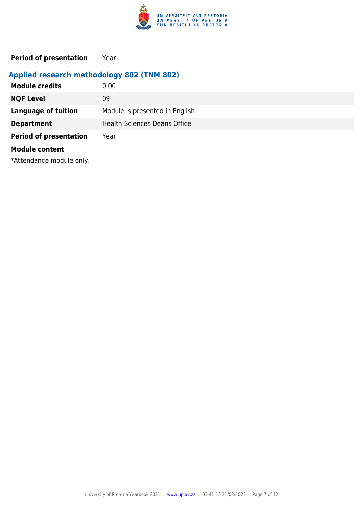

**Period of presentation** Year

### **Applied research methodology 802 (TNM 802)**

| <b>Module credits</b>         | 0.00                                |
|-------------------------------|-------------------------------------|
| <b>NQF Level</b>              | 09                                  |
| <b>Language of tuition</b>    | Module is presented in English      |
| <b>Department</b>             | <b>Health Sciences Deans Office</b> |
| <b>Period of presentation</b> | Year                                |
| <b>Module content</b>         |                                     |

\*Attendance module only.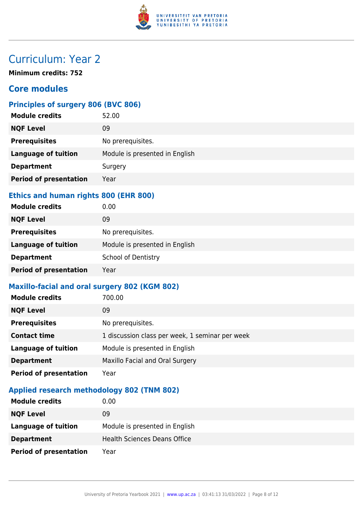

**Minimum credits: 752**

### **Core modules**

## **Principles of surgery 806 (BVC 806)**

| <b>Module credits</b>         | 52.00                          |
|-------------------------------|--------------------------------|
| <b>NQF Level</b>              | 09                             |
| <b>Prerequisites</b>          | No prerequisites.              |
| <b>Language of tuition</b>    | Module is presented in English |
| <b>Department</b>             | Surgery                        |
| <b>Period of presentation</b> | Year                           |
|                               |                                |

### **Ethics and human rights 800 (EHR 800)**

| <b>Module credits</b>         | 0.00                           |
|-------------------------------|--------------------------------|
| <b>NQF Level</b>              | 09                             |
| <b>Prerequisites</b>          | No prerequisites.              |
| <b>Language of tuition</b>    | Module is presented in English |
| <b>Department</b>             | <b>School of Dentistry</b>     |
| <b>Period of presentation</b> | Year                           |

### **Maxillo-facial and oral surgery 802 (KGM 802)**

| <b>Module credits</b>         | 700.00                                          |
|-------------------------------|-------------------------------------------------|
| <b>NQF Level</b>              | 09                                              |
| <b>Prerequisites</b>          | No prerequisites.                               |
| <b>Contact time</b>           | 1 discussion class per week, 1 seminar per week |
| <b>Language of tuition</b>    | Module is presented in English                  |
| <b>Department</b>             | Maxillo Facial and Oral Surgery                 |
| <b>Period of presentation</b> | Year                                            |

#### **Applied research methodology 802 (TNM 802)**

| <b>Module credits</b>         | 0.00                                |
|-------------------------------|-------------------------------------|
| <b>NQF Level</b>              | 09                                  |
| Language of tuition           | Module is presented in English      |
| <b>Department</b>             | <b>Health Sciences Deans Office</b> |
| <b>Period of presentation</b> | Year                                |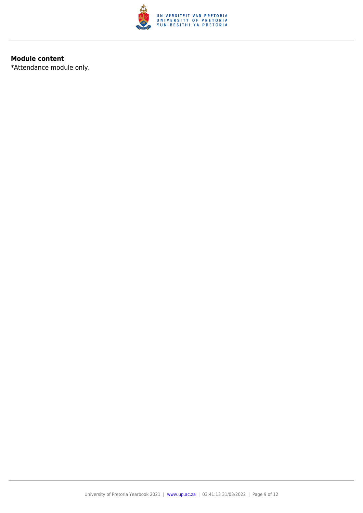

#### **Module content**

\*Attendance module only.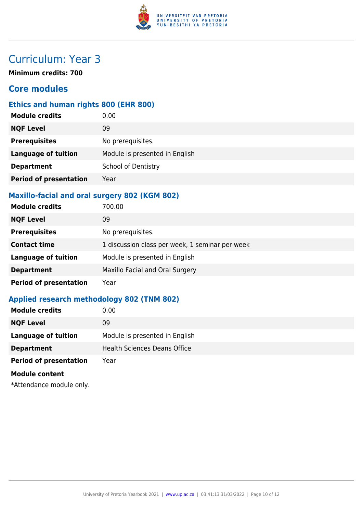

**Minimum credits: 700**

### **Core modules**

### **Ethics and human rights 800 (EHR 800)**

| <b>Module credits</b>         | 0.00                           |
|-------------------------------|--------------------------------|
| <b>NQF Level</b>              | 09                             |
| <b>Prerequisites</b>          | No prerequisites.              |
| <b>Language of tuition</b>    | Module is presented in English |
| <b>Department</b>             | <b>School of Dentistry</b>     |
| <b>Period of presentation</b> | Year                           |
|                               |                                |

### **Maxillo-facial and oral surgery 802 (KGM 802)**

| <b>Module credits</b>         | 700.00                                          |
|-------------------------------|-------------------------------------------------|
| <b>NQF Level</b>              | 09                                              |
| <b>Prerequisites</b>          | No prerequisites.                               |
| <b>Contact time</b>           | 1 discussion class per week, 1 seminar per week |
| <b>Language of tuition</b>    | Module is presented in English                  |
| <b>Department</b>             | Maxillo Facial and Oral Surgery                 |
| <b>Period of presentation</b> | Year                                            |

#### **Applied research methodology 802 (TNM 802)**

| <b>Module credits</b>         | 0.00                                |
|-------------------------------|-------------------------------------|
| <b>NQF Level</b>              | 09                                  |
| Language of tuition           | Module is presented in English      |
| <b>Department</b>             | <b>Health Sciences Deans Office</b> |
| <b>Period of presentation</b> | Year                                |
| <b>Module content</b>         |                                     |
| *Attendance module only.      |                                     |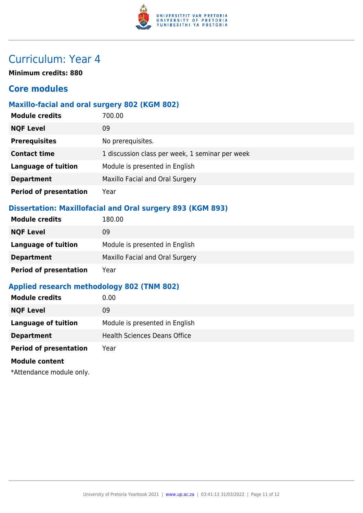

**Minimum credits: 880**

### **Core modules**

#### **Maxillo-facial and oral surgery 802 (KGM 802)**

| <b>Module credits</b>         | 700.00                                          |
|-------------------------------|-------------------------------------------------|
| <b>NQF Level</b>              | 09                                              |
| <b>Prerequisites</b>          | No prerequisites.                               |
| <b>Contact time</b>           | 1 discussion class per week, 1 seminar per week |
| <b>Language of tuition</b>    | Module is presented in English                  |
| <b>Department</b>             | Maxillo Facial and Oral Surgery                 |
| <b>Period of presentation</b> | Year                                            |

### **Dissertation: Maxillofacial and Oral surgery 893 (KGM 893)**

| <b>Module credits</b>         | 180.00                          |
|-------------------------------|---------------------------------|
| <b>NQF Level</b>              | 09                              |
| Language of tuition           | Module is presented in English  |
| <b>Department</b>             | Maxillo Facial and Oral Surgery |
| <b>Period of presentation</b> | Year                            |

#### **Applied research methodology 802 (TNM 802)**

| <b>Module credits</b>         | 0.00                                |
|-------------------------------|-------------------------------------|
| <b>NQF Level</b>              | 09                                  |
| Language of tuition           | Module is presented in English      |
| <b>Department</b>             | <b>Health Sciences Deans Office</b> |
| <b>Period of presentation</b> | Year                                |
| <b>Module content</b>         |                                     |

\*Attendance module only.